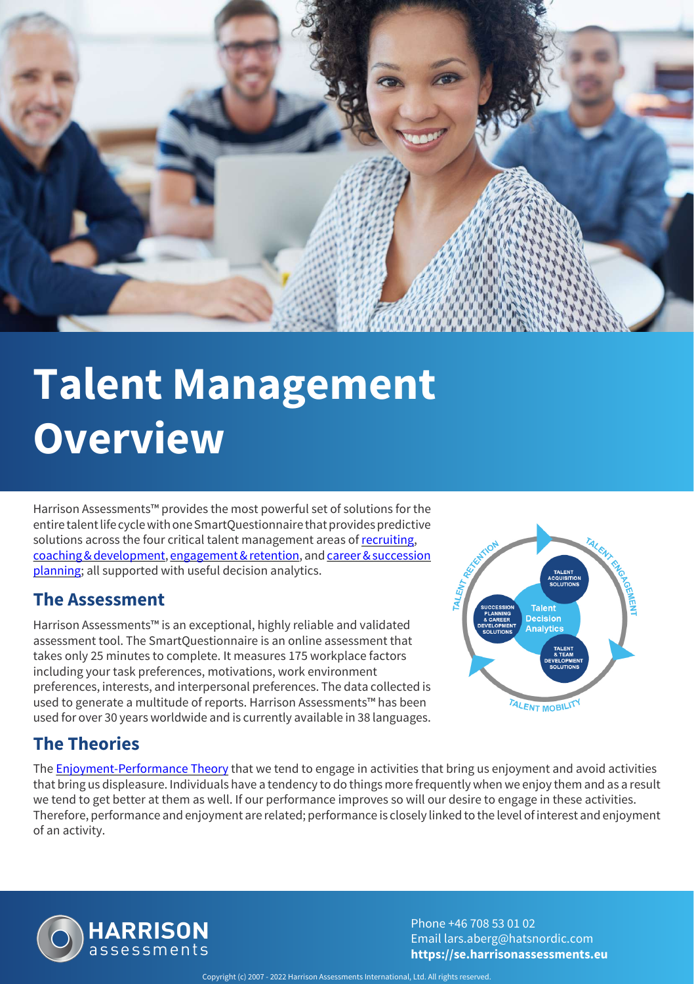

# **Talent Management Overview**

Harrison Assessments™ provides the most powerful set of solutions for the entire talent life cycle with one SmartQuestionnaire that provides predictive solutions across the four critical talent management areas of [recruiting](https://se.harrisonassessments.eu/talent-acquisition.html), [coaching & development](https://se.harrisonassessments.eu/talent-development.html), [engagement & retention](https://se.harrisonassessments.eu/employee-engagement.html), and [career & succession](https://se.harrisonassessments.eu/succession-planning.html) [planning](https://se.harrisonassessments.eu/succession-planning.html); all supported with useful decision analytics.

#### **The Assessment**

Harrison Assessments™ is an exceptional, highly reliable and validated assessment tool. The SmartQuestionnaire is an online assessment that takes only 25 minutes to complete. It measures 175 workplace factors including your task preferences, motivations, work environment preferences, interests, and interpersonal preferences. The data collected is used to generate a multitude of reports. Harrison Assessments™ has been used for over 30 years worldwide and is currently available in 38 languages.



## **The Theories**

The **[Enjoyment-Performance Theory](https://se.harrisonassessments.eu/personality-testing.html)** that we tend to engage in activities that bring us enjoyment and avoid activities that bring us displeasure. Individuals have a tendency to do things more frequently when we enjoy them and as a result we tend to get better at them as well. If our performance improves so will our desire to engage in these activities. Therefore, performance and enjoyment are related; performance is closely linked to the level of interest and enjoyment of an activity.



Phone +46 708 53 01 02 Email lars.aberg@hatsnordic.com **https://se.harrisonassessments.eu**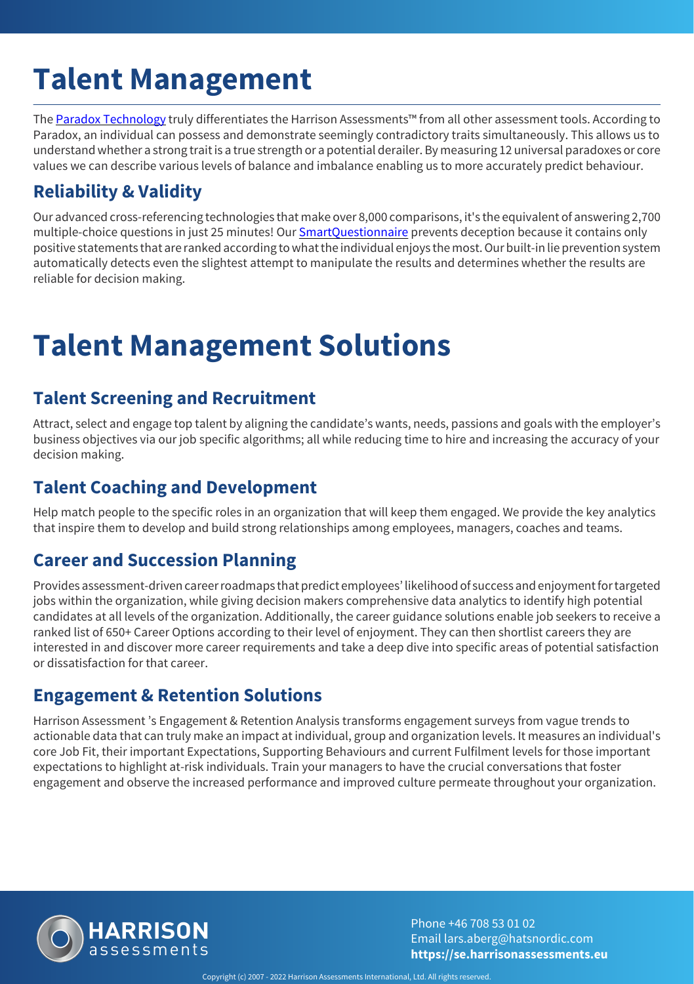# **Talent Management**

The [Paradox Technology](https://se.harrisonassessments.eu/paradox-technology.html) truly differentiates the Harrison Assessments™ from all other assessment tools. According to Paradox, an individual can possess and demonstrate seemingly contradictory traits simultaneously. This allows us to understand whether a strong trait is a true strength or a potential derailer. By measuring 12 universal paradoxes or core values we can describe various levels of balance and imbalance enabling us to more accurately predict behaviour.

### **Reliability & Validity**

Our advanced cross-referencing technologies that make over 8,000 comparisons, it's the equivalent of answering 2,700 multiple-choice questions in just 25 minutes! Our [SmartQuestionnaire](https://se.harrisonassessments.eu/smart-questionnaire.html) prevents deception because it contains only positive statements that are ranked according to what the individual enjoys the most. Our built-in lie prevention system automatically detects even the slightest attempt to manipulate the results and determines whether the results are reliable for decision making.

# **Talent Management Solutions**

#### **Talent Screening and Recruitment**

Attract, select and engage top talent by aligning the candidate's wants, needs, passions and goals with the employer's business objectives via our job specific algorithms; all while reducing time to hire and increasing the accuracy of your decision making.

#### **Talent Coaching and Development**

Help match people to the specific roles in an organization that will keep them engaged. We provide the key analytics that inspire them to develop and build strong relationships among employees, managers, coaches and teams.

#### **Career and Succession Planning**

Provides assessment-driven career roadmaps that predict employees' likelihood of success and enjoyment for targeted jobs within the organization, while giving decision makers comprehensive data analytics to identify high potential candidates at all levels of the organization. Additionally, the career guidance solutions enable job seekers to receive a ranked list of 650+ Career Options according to their level of enjoyment. They can then shortlist careers they are interested in and discover more career requirements and take a deep dive into specific areas of potential satisfaction or dissatisfaction for that career.

#### **Engagement & Retention Solutions**

Harrison Assessment 's Engagement & Retention Analysis transforms engagement surveys from vague trends to actionable data that can truly make an impact at individual, group and organization levels. It measures an individual's core Job Fit, their important Expectations, Supporting Behaviours and current Fulfilment levels for those important expectations to highlight at-risk individuals. Train your managers to have the crucial conversations that foster engagement and observe the increased performance and improved culture permeate throughout your organization.



Phone +46 708 53 01 02 Email lars.aberg@hatsnordic.com **https://se.harrisonassessments.eu**